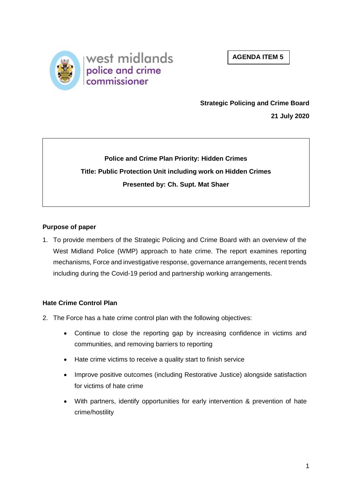



# **Strategic Policing and Crime Board**

**21 July 2020**

**Police and Crime Plan Priority: Hidden Crimes Title: Public Protection Unit including work on Hidden Crimes Presented by: Ch. Supt. Mat Shaer**

# **Purpose of paper**

1. To provide members of the Strategic Policing and Crime Board with an overview of the West Midland Police (WMP) approach to hate crime. The report examines reporting mechanisms, Force and investigative response, governance arrangements, recent trends including during the Covid-19 period and partnership working arrangements.

# **Hate Crime Control Plan**

- 2. The Force has a hate crime control plan with the following objectives:
	- Continue to close the reporting gap by increasing confidence in victims and communities, and removing barriers to reporting
	- Hate crime victims to receive a quality start to finish service
	- Improve positive outcomes (including Restorative Justice) alongside satisfaction for victims of hate crime
	- With partners, identify opportunities for early intervention & prevention of hate crime/hostility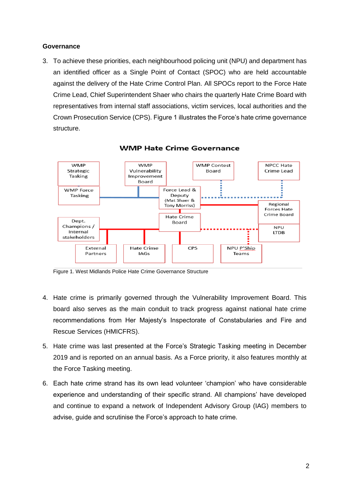### **Governance**

3. To achieve these priorities, each neighbourhood policing unit (NPU) and department has an identified officer as a Single Point of Contact (SPOC) who are held accountable against the delivery of the Hate Crime Control Plan. All SPOCs report to the Force Hate Crime Lead, Chief Superintendent Shaer who chairs the quarterly Hate Crime Board with representatives from internal staff associations, victim services, local authorities and the Crown Prosecution Service (CPS). Figure 1 illustrates the Force's hate crime governance structure.



#### **WMP Hate Crime Governance**

Figure 1. West Midlands Police Hate Crime Governance Structure

- 4. Hate crime is primarily governed through the Vulnerability Improvement Board. This board also serves as the main conduit to track progress against national hate crime recommendations from Her Majesty's Inspectorate of Constabularies and Fire and Rescue Services (HMICFRS).
- 5. Hate crime was last presented at the Force's Strategic Tasking meeting in December 2019 and is reported on an annual basis. As a Force priority, it also features monthly at the Force Tasking meeting.
- 6. Each hate crime strand has its own lead volunteer 'champion' who have considerable experience and understanding of their specific strand. All champions' have developed and continue to expand a network of Independent Advisory Group (IAG) members to advise, guide and scrutinise the Force's approach to hate crime.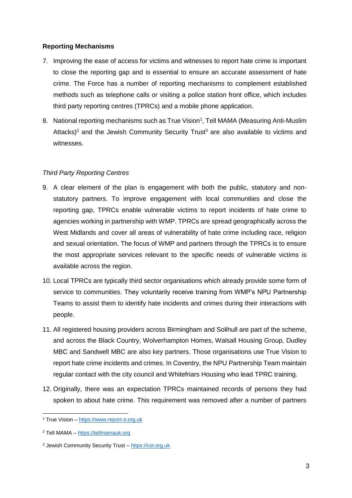# **Reporting Mechanisms**

- 7. Improving the ease of access for victims and witnesses to report hate crime is important to close the reporting gap and is essential to ensure an accurate assessment of hate crime. The Force has a number of reporting mechanisms to complement established methods such as telephone calls or visiting a police station front office, which includes third party reporting centres (TPRCs) and a mobile phone application.
- 8. National reporting mechanisms such as True Vision<sup>1</sup>, Tell MAMA (Measuring Anti-Muslim Attacks)<sup>2</sup> and the Jewish Community Security Trust<sup>3</sup> are also available to victims and witnesses.

# *Third Party Reporting Centres*

- 9. A clear element of the plan is engagement with both the public, statutory and nonstatutory partners. To improve engagement with local communities and close the reporting gap, TPRCs enable vulnerable victims to report incidents of hate crime to agencies working in partnership with WMP. TPRCs are spread geographically across the West Midlands and cover all areas of vulnerability of hate crime including race, religion and sexual orientation. The focus of WMP and partners through the TPRCs is to ensure the most appropriate services relevant to the specific needs of vulnerable victims is available across the region.
- 10. Local TPRCs are typically third sector organisations which already provide some form of service to communities. They voluntarily receive training from WMP's NPU Partnership Teams to assist them to identify hate incidents and crimes during their interactions with people.
- 11. All registered housing providers across Birmingham and Solihull are part of the scheme, and across the Black Country, Wolverhampton Homes, Walsall Housing Group, Dudley MBC and Sandwell MBC are also key partners. Those organisations use True Vision to report hate crime incidents and crimes. In Coventry, the NPU Partnership Team maintain regular contact with the city council and Whitefriars Housing who lead TPRC training.
- 12. Originally, there was an expectation TPRCs maintained records of persons they had spoken to about hate crime. This requirement was removed after a number of partners

<sup>-</sup><sup>1</sup> True Vision – [https://www.report-it.org.uk](https://www.report-it.org.uk/)

<sup>2</sup> Tell MAMA – [https://tellmamauk.org](https://tellmamauk.org/)

<sup>3</sup> Jewish Community Security Trust – [https://cst.org.uk](https://cst.org.uk/)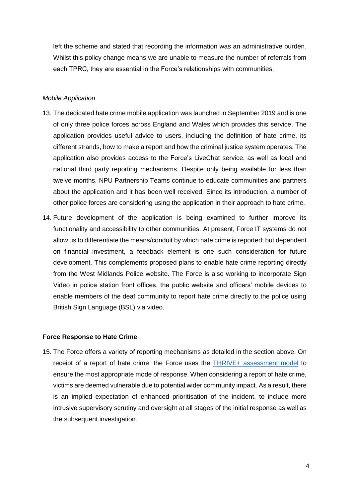left the scheme and stated that recording the information was an administrative burden. Whilst this policy change means we are unable to measure the number of referrals from each TPRC, they are essential in the Force's relationships with communities.

### *Mobile Application*

- 13. The dedicated hate crime mobile application was launched in September 2019 and is one of only three police forces across England and Wales which provides this service. The application provides useful advice to users, including the definition of hate crime, its different strands, how to make a report and how the criminal justice system operates. The application also provides access to the Force's LiveChat service, as well as local and national third party reporting mechanisms. Despite only being available for less than twelve months, NPU Partnership Teams continue to educate communities and partners about the application and it has been well received. Since its introduction, a number of other police forces are considering using the application in their approach to hate crime.
- 14. Future development of the application is being examined to further improve its functionality and accessibility to other communities. At present, Force IT systems do not allow us to differentiate the means/conduit by which hate crime is reported; but dependent on financial investment, a feedback element is one such consideration for future development. This complements proposed plans to enable hate crime reporting directly from the West Midlands Police website. The Force is also working to incorporate Sign Video in police station front offices, the public website and officers' mobile devices to enable members of the deaf community to report hate crime directly to the police using British Sign Language (BSL) via video.

### **Force Response to Hate Crime**

15. The Force offers a variety of reporting mechanisms as detailed in the section above. On receipt of a report of hate crime, the Force uses the **THRIVE+** assessment model to ensure the most appropriate mode of response. When considering a report of hate crime, victims are deemed vulnerable due to potential wider community impact. As a result, there is an implied expectation of enhanced prioritisation of the incident, to include more intrusive supervisory scrutiny and oversight at all stages of the initial response as well as the subsequent investigation.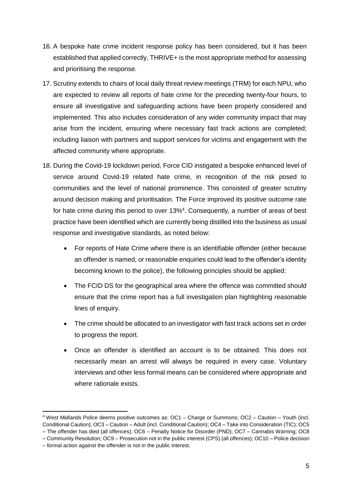- 16. A bespoke hate crime incident response policy has been considered, but it has been established that applied correctly, THRIVE+ is the most appropriate method for assessing and prioritising the response.
- 17. Scrutiny extends to chairs of local daily threat review meetings (TRM) for each NPU, who are expected to review all reports of hate crime for the preceding twenty-four hours, to ensure all investigative and safeguarding actions have been properly considered and implemented. This also includes consideration of any wider community impact that may arise from the incident, ensuring where necessary fast track actions are completed; including liaison with partners and support services for victims and engagement with the affected community where appropriate.
- 18. During the Covid-19 lockdown period, Force CID instigated a bespoke enhanced level of service around Covid-19 related hate crime, in recognition of the risk posed to communities and the level of national prominence. This consisted of greater scrutiny around decision making and prioritisation. The Force improved its positive outcome rate for hate crime during this period to over 13%<sup>4</sup>. Consequently, a number of areas of best practice have been identified which are currently being distilled into the business as usual response and investigative standards, as noted below:
	- For reports of Hate Crime where there is an identifiable offender (either because an offender is named, or reasonable enquiries could lead to the offender's identity becoming known to the police), the following principles should be applied:
	- The FCID DS for the geographical area where the offence was committed should ensure that the crime report has a full investigation plan highlighting reasonable lines of enquiry.
	- The crime should be allocated to an investigator with fast track actions set in order to progress the report.
	- Once an offender is identified an account is to be obtained. This does not necessarily mean an arrest will always be required in every case. Voluntary interviews and other less formal means can be considered where appropriate and where rationale exists.

-

<sup>4</sup> West Midlands Police deems positive outcomes as: OC1 – Charge or Summons; OC2 – Caution – Youth (incl. Conditional Caution); OC3 – Caution – Adult (incl. Conditional Caution); OC4 – Take into Consideration (TIC); OC5

<sup>–</sup> The offender has died (all offences); OC6 – Penalty Notice for Disorder (PND); OC7 – Cannabis Warning; OC8

<sup>–</sup> Community Resolution; OC9 – Prosecution not in the public interest (CPS) (all offences); OC10 – Police decision

<sup>–</sup> formal action against the offender is not in the public interest.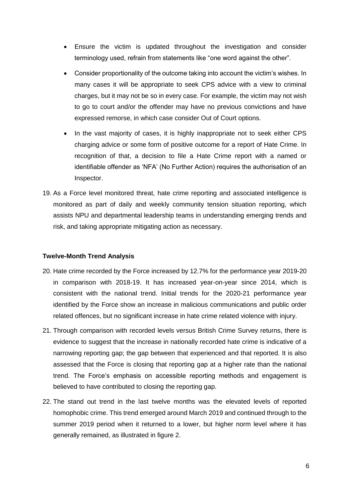- Ensure the victim is updated throughout the investigation and consider terminology used, refrain from statements like "one word against the other".
- Consider proportionality of the outcome taking into account the victim's wishes. In many cases it will be appropriate to seek CPS advice with a view to criminal charges, but it may not be so in every case. For example, the victim may not wish to go to court and/or the offender may have no previous convictions and have expressed remorse, in which case consider Out of Court options.
- In the vast majority of cases, it is highly inappropriate not to seek either CPS charging advice or some form of positive outcome for a report of Hate Crime. In recognition of that, a decision to file a Hate Crime report with a named or identifiable offender as 'NFA' (No Further Action) requires the authorisation of an Inspector.
- 19. As a Force level monitored threat, hate crime reporting and associated intelligence is monitored as part of daily and weekly community tension situation reporting, which assists NPU and departmental leadership teams in understanding emerging trends and risk, and taking appropriate mitigating action as necessary.

# **Twelve-Month Trend Analysis**

- 20. Hate crime recorded by the Force increased by 12.7% for the performance year 2019-20 in comparison with 2018-19. It has increased year-on-year since 2014, which is consistent with the national trend. Initial trends for the 2020-21 performance year identified by the Force show an increase in malicious communications and public order related offences, but no significant increase in hate crime related violence with injury.
- 21. Through comparison with recorded levels versus British Crime Survey returns, there is evidence to suggest that the increase in nationally recorded hate crime is indicative of a narrowing reporting gap; the gap between that experienced and that reported. It is also assessed that the Force is closing that reporting gap at a higher rate than the national trend. The Force's emphasis on accessible reporting methods and engagement is believed to have contributed to closing the reporting gap.
- 22. The stand out trend in the last twelve months was the elevated levels of reported homophobic crime. This trend emerged around March 2019 and continued through to the summer 2019 period when it returned to a lower, but higher norm level where it has generally remained, as illustrated in figure 2.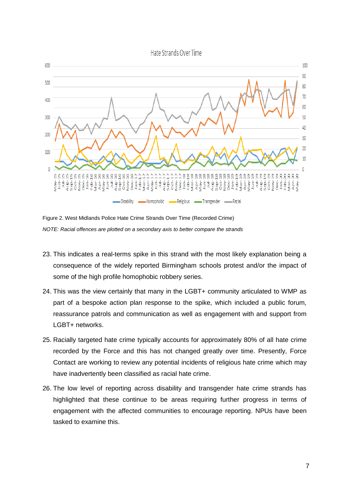Hate Strands Over Time



Figure 2. West Midlands Police Hate Crime Strands Over Time (Recorded Crime) *NOTE: Racial offences are plotted on a secondary axis to better compare the strands*

- 23. This indicates a real-terms spike in this strand with the most likely explanation being a consequence of the widely reported Birmingham schools protest and/or the impact of some of the high profile homophobic robbery series.
- 24. This was the view certainly that many in the LGBT+ community articulated to WMP as part of a bespoke action plan response to the spike, which included a public forum, reassurance patrols and communication as well as engagement with and support from LGBT+ networks.
- 25. Racially targeted hate crime typically accounts for approximately 80% of all hate crime recorded by the Force and this has not changed greatly over time. Presently, Force Contact are working to review any potential incidents of religious hate crime which may have inadvertently been classified as racial hate crime.
- 26. The low level of reporting across disability and transgender hate crime strands has highlighted that these continue to be areas requiring further progress in terms of engagement with the affected communities to encourage reporting. NPUs have been tasked to examine this.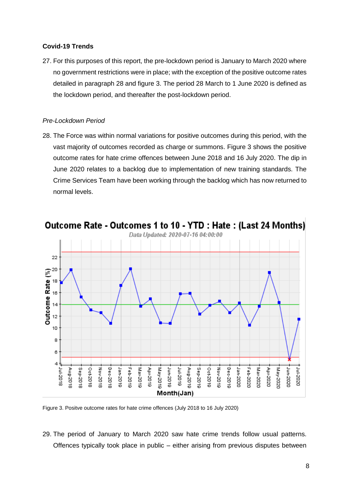### **Covid-19 Trends**

27. For this purposes of this report, the pre-lockdown period is January to March 2020 where no government restrictions were in place; with the exception of the positive outcome rates detailed in paragraph 28 and figure 3. The period 28 March to 1 June 2020 is defined as the lockdown period, and thereafter the post-lockdown period.

### *Pre-Lockdown Period*

28. The Force was within normal variations for positive outcomes during this period, with the vast majority of outcomes recorded as charge or summons. Figure 3 shows the positive outcome rates for hate crime offences between June 2018 and 16 July 2020. The dip in June 2020 relates to a backlog due to implementation of new training standards. The Crime Services Team have been working through the backlog which has now returned to normal levels.



Figure 3. Positve outcome rates for hate crime offences (July 2018 to 16 July 2020)

29. The period of January to March 2020 saw hate crime trends follow usual patterns. Offences typically took place in public – either arising from previous disputes between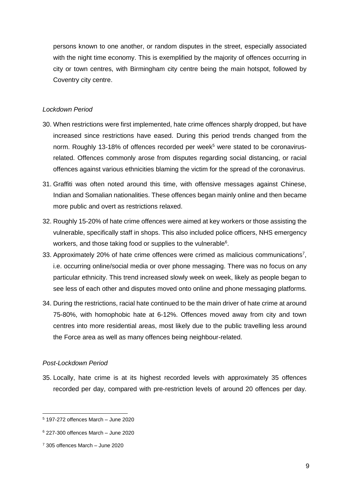persons known to one another, or random disputes in the street, especially associated with the night time economy. This is exemplified by the majority of offences occurring in city or town centres, with Birmingham city centre being the main hotspot, followed by Coventry city centre.

#### *Lockdown Period*

- 30. When restrictions were first implemented, hate crime offences sharply dropped, but have increased since restrictions have eased. During this period trends changed from the norm. Roughly 13-18% of offences recorded per week<sup>5</sup> were stated to be coronavirusrelated. Offences commonly arose from disputes regarding social distancing, or racial offences against various ethnicities blaming the victim for the spread of the coronavirus.
- 31. Graffiti was often noted around this time, with offensive messages against Chinese, Indian and Somalian nationalities. These offences began mainly online and then became more public and overt as restrictions relaxed.
- 32. Roughly 15-20% of hate crime offences were aimed at key workers or those assisting the vulnerable, specifically staff in shops. This also included police officers, NHS emergency workers, and those taking food or supplies to the vulnerable<sup>6</sup>.
- 33. Approximately 20% of hate crime offences were crimed as malicious communications<sup>7</sup>, i.e. occurring online/social media or over phone messaging. There was no focus on any particular ethnicity. This trend increased slowly week on week, likely as people began to see less of each other and disputes moved onto online and phone messaging platforms.
- 34. During the restrictions, racial hate continued to be the main driver of hate crime at around 75-80%, with homophobic hate at 6-12%. Offences moved away from city and town centres into more residential areas, most likely due to the public travelling less around the Force area as well as many offences being neighbour-related.

#### *Post-Lockdown Period*

-

35. Locally, hate crime is at its highest recorded levels with approximately 35 offences recorded per day, compared with pre-restriction levels of around 20 offences per day.

<sup>5</sup> 197-272 offences March – June 2020

 $6$  227-300 offences March – June 2020

<sup>7</sup> 305 offences March – June 2020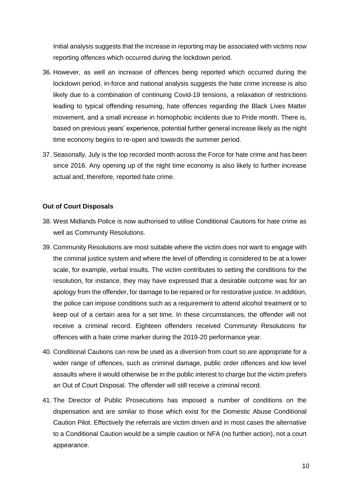Initial analysis suggests that the increase in reporting may be associated with victims now reporting offences which occurred during the lockdown period.

- 36. However, as well an increase of offences being reported which occurred during the lockdown period, in-force and national analysis suggests the hate crime increase is also likely due to a combination of continuing Covid-19 tensions, a relaxation of restrictions leading to typical offending resuming, hate offences regarding the Black Lives Matter movement, and a small increase in homophobic incidents due to Pride month. There is, based on previous years' experience, potential further general increase likely as the night time economy begins to re-open and towards the summer period.
- 37. Seasonally, July is the top recorded month across the Force for hate crime and has been since 2016. Any opening up of the night time economy is also likely to further increase actual and, therefore, reported hate crime.

### **Out of Court Disposals**

- 38. West Midlands Police is now authorised to utilise Conditional Cautions for hate crime as well as Community Resolutions.
- 39. Community Resolutions are most suitable where the victim does not want to engage with the criminal justice system and where the level of offending is considered to be at a lower scale, for example, verbal insults. The victim contributes to setting the conditions for the resolution, for instance, they may have expressed that a desirable outcome was for an apology from the offender, for damage to be repaired or for restorative justice. In addition, the police can impose conditions such as a requirement to attend alcohol treatment or to keep out of a certain area for a set time. In these circumstances, the offender will not receive a criminal record. Eighteen offenders received Community Resolutions for offences with a hate crime marker during the 2019-20 performance year.
- 40. Conditional Cautions can now be used as a diversion from court so are appropriate for a wider range of offences, such as criminal damage, public order offences and low level assaults where it would otherwise be in the public interest to charge but the victim prefers an Out of Court Disposal. The offender will still receive a criminal record.
- 41. The Director of Public Prosecutions has imposed a number of conditions on the dispensation and are similar to those which exist for the Domestic Abuse Conditional Caution Pilot. Effectively the referrals are victim driven and in most cases the alternative to a Conditional Caution would be a simple caution or NFA (no further action), not a court appearance.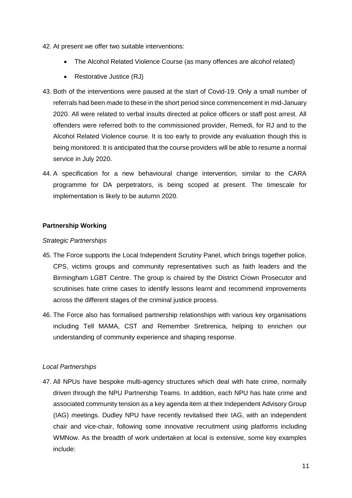- 42. At present we offer two suitable interventions:
	- The Alcohol Related Violence Course (as many offences are alcohol related)
	- Restorative Justice (RJ)
- 43. Both of the interventions were paused at the start of Covid-19. Only a small number of referrals had been made to these in the short period since commencement in mid-January 2020. All were related to verbal insults directed at police officers or staff post arrest. All offenders were referred both to the commissioned provider, Remedi, for RJ and to the Alcohol Related Violence course. It is too early to provide any evaluation though this is being monitored. It is anticipated that the course providers will be able to resume a normal service in July 2020.
- 44. A specification for a new behavioural change intervention, similar to the CARA programme for DA perpetrators, is being scoped at present. The timescale for implementation is likely to be autumn 2020.

# **Partnership Working**

# *Strategic Partnerships*

- 45. The Force supports the Local Independent Scrutiny Panel, which brings together police, CPS, victims groups and community representatives such as faith leaders and the Birmingham LGBT Centre. The group is chaired by the District Crown Prosecutor and scrutinises hate crime cases to identify lessons learnt and recommend improvements across the different stages of the criminal justice process.
- 46. The Force also has formalised partnership relationships with various key organisations including Tell MAMA, CST and Remember Srebrenica, helping to enrichen our understanding of community experience and shaping response.

# *Local Partnerships*

47. All NPUs have bespoke multi-agency structures which deal with hate crime, normally driven through the NPU Partnership Teams. In addition, each NPU has hate crime and associated community tension as a key agenda item at their Independent Advisory Group (IAG) meetings. Dudley NPU have recently revitalised their IAG, with an independent chair and vice-chair, following some innovative recruitment using platforms including WMNow. As the breadth of work undertaken at local is extensive, some key examples include: